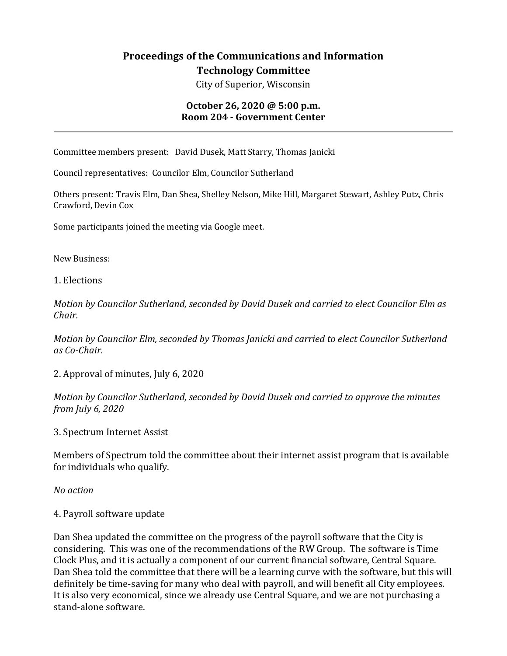## **Proceedings of the Communications and Information Technology Committee**

City of Superior, Wisconsin

## **October 26, 2020 @ 5:00 p.m. Room 204 - Government Center**

Committee members present: David Dusek, Matt Starry, Thomas Janicki

Council representatives: Councilor Elm, Councilor Sutherland

Others present: Travis Elm, Dan Shea, Shelley Nelson, Mike Hill, Margaret Stewart, Ashley Putz, Chris Crawford, Devin Cox

Some participants joined the meeting via Google meet.

New Business:

1. Elections

*Motion by Councilor Sutherland, seconded by David Dusek and carried to elect Councilor Elm as Chair.*

*Motion by Councilor Elm, seconded by Thomas Janicki and carried to elect Councilor Sutherland as Co-Chair.* 

2. Approval of minutes, July 6, 2020

*Motion by Councilor Sutherland, seconded by David Dusek and carried to approve the minutes from July 6, 2020*

3. Spectrum Internet Assist

Members of Spectrum told the committee about their internet assist program that is available for individuals who qualify.

*No action*

4. Payroll software update

Dan Shea updated the committee on the progress of the payroll software that the City is considering. This was one of the recommendations of the RW Group. The software is Time Clock Plus, and it is actually a component of our current financial software, Central Square. Dan Shea told the committee that there will be a learning curve with the software, but this will definitely be time-saving for many who deal with payroll, and will benefit all City employees. It is also very economical, since we already use Central Square, and we are not purchasing a stand-alone software.